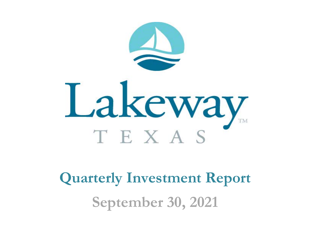

**Quarterly Investment Report September 30, 2021**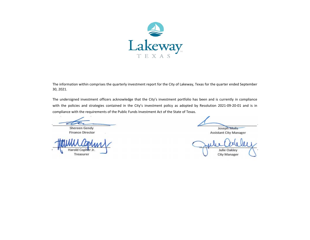

The information within comprises the quarterly investment report for the City of Lakeway, Texas for the quarter ended September 30, 2021.

The undersigned investment officers acknowledge that the City's investment portfolio has been and is currently in compliance with the policies and strategies contained in the City's investment policy as adopted by Resolution 2021-09-20-01 and is in compliance with the requirements of the Public Funds Investment Act of the State of Texas.

 Finance Director Shereen Gendy

Harold Cophe<br>Treasurer

Joseph Molis

Assistant City Manager

Julie Oakley<br>City Manager City Manager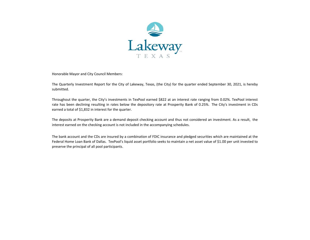

Honorable Mayor and City Council Members:

The Quarterly Investment Report for the City of Lakeway, Texas, (the City) for the quarter ended September 30, 2021, is hereby submitted.

Throughout the quarter, the City's investments in TexPool earned \$822 at an interest rate ranging from 0.02%. TexPool interest rate has been declining resulting in rates below the depository rate at Prosperity Bank of 0.25%. The City's investment in CDs earned a total of \$1,832 in interest for the quarter.

The deposits at Prosperity Bank are <sup>a</sup> demand deposit checking account and thus not considered an investment. As <sup>a</sup> result, the interest earned on the checking account is not included in the accompanying schedules.

The bank account and the CDs are insured by <sup>a</sup> combination of FDIC insurance and pledged securities which are maintained at the Federal Home Loan Bank of Dallas. TexPool's liquid asset portfolio seeks to maintain <sup>a</sup> net asset value of \$1.00 per unit invested to preserve the principal of all pool participants.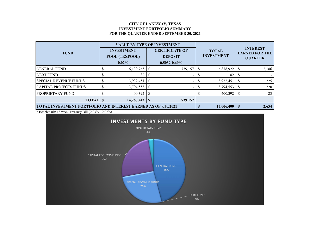### **CITY OF LAKEWAY, TEXAS INVESTMENT PORTFOLIO SUMMARY FOR THE QUARTER ENDED SEPTEMBER 30, 2021**

|                                                                       |  | <b>VALUE BY TYPE OF INVESTMENT</b>              |                                                              |         |                                   |           |  |                                                            |  |
|-----------------------------------------------------------------------|--|-------------------------------------------------|--------------------------------------------------------------|---------|-----------------------------------|-----------|--|------------------------------------------------------------|--|
| <b>FUND</b>                                                           |  | <b>INVESTMENT</b><br>POOL (TEXPOOL)<br>$0.02\%$ | <b>CERTIFICATE OF</b><br><b>DEPOSIT</b><br>$0.50\% - 0.60\%$ |         | <b>TOTAL</b><br><b>INVESTMENT</b> |           |  | <b>INTEREST</b><br><b>EARNED FOR THE</b><br><b>QUARTER</b> |  |
| <b>GENERAL FUND</b>                                                   |  | 6,139,765                                       |                                                              | 739,157 |                                   | 6,878,922 |  | 2,186                                                      |  |
| <b>DEBT FUND</b>                                                      |  | 82                                              |                                                              |         |                                   | 82        |  |                                                            |  |
| <b>SPECIAL REVENUE FUNDS</b>                                          |  | 3,932,451                                       |                                                              |         |                                   | 3,932,451 |  | 225                                                        |  |
| <b>CAPITAL PROJECTS FUNDS</b>                                         |  | 3,794,553                                       |                                                              |         |                                   | 3,794,553 |  | 220                                                        |  |
| <b>PROPRIETARY FUND</b>                                               |  | 400,392                                         |                                                              |         |                                   | 400,392   |  | 23                                                         |  |
| <b>TOTAL</b> \$                                                       |  | 14, 267, 243                                    |                                                              | 739,157 |                                   |           |  |                                                            |  |
| <b>TOTAL INVESTMENT PORTFOLIO AND INTEREST EARNED AS OF 9/30/2021</b> |  | 15,006,400                                      |                                                              | 2,654   |                                   |           |  |                                                            |  |

\* Benchmark: 13 week Treasury Bill (0.03% - 0.07%)

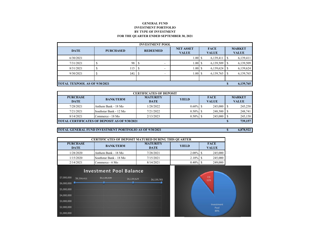#### **GENERAL FUNDINVESTMENT PORTFOLIO BY TYPE OF INVESTMENT FOR THE QUARTER ENDED SEPTEMBER 30, 2021**

| <b>INVESTMENT POOL</b>               |                  |     |                 |                                  |      |                             |           |                               |           |
|--------------------------------------|------------------|-----|-----------------|----------------------------------|------|-----------------------------|-----------|-------------------------------|-----------|
| <b>DATE</b>                          | <b>PURCHASED</b> |     | <b>REDEEMED</b> | <b>NET ASSET</b><br><b>VALUE</b> |      | <b>FACE</b><br><b>VALUE</b> |           | <b>MARKET</b><br><b>VALUE</b> |           |
| 6/30/2021                            |                  |     |                 |                                  | 1.00 | S                           | 6,139,411 |                               | 6,139,411 |
| 7/31/2021                            |                  | 98  | ъ               | -                                | 1.00 | S                           | 6,139,509 |                               | 6,139,509 |
| 8/31/2021                            |                  | 115 | S               | ۰                                | 1.00 | <sup>\$</sup>               | 6,139,624 |                               | 6,139,624 |
| 9/30/2021                            |                  | 141 |                 | $\overline{\phantom{a}}$         | 1.00 | <sup>\$</sup>               | 6,139,765 |                               | 6,139,765 |
|                                      |                  |     |                 |                                  |      |                             |           |                               |           |
| <b>TOTAL TEXPOOL AS OF 9/30/2021</b> |                  |     |                 |                                  |      |                             |           |                               | 6,139,765 |

| <b>CERTIFICATES OF DEPOSIT</b>                       |                        |                                                |             |                             |  |                               |  |  |  |  |
|------------------------------------------------------|------------------------|------------------------------------------------|-------------|-----------------------------|--|-------------------------------|--|--|--|--|
| <b>PURCHASE</b><br><b>DATE</b>                       | <b>BANK/TERM</b>       | <b>MATURITY</b><br><b>YIELD</b><br><b>DATE</b> |             | <b>FACE</b><br><b>VALUE</b> |  | <b>MARKET</b><br><b>VALUE</b> |  |  |  |  |
| 7/28/2021                                            | Anthem Bank - 18 Mo    | 1/28/2022                                      | $0.60\%$ \$ | $245,000 \, \text{S}$       |  | 245,258                       |  |  |  |  |
| 7/21/2021                                            | Southstar Bank - 12 Mo | 7/21/2022                                      | $0.50\%$    | 248,500 \$                  |  | 248,741                       |  |  |  |  |
| 8/14/2021                                            | Commerce - 18 Mo       | 2/13/2023                                      | $0.50\%$ \$ |                             |  | 245,158                       |  |  |  |  |
| <b>TOTAL CERTIFICATES OF DEPOSIT AS OF 9/30/2021</b> |                        |                                                |             |                             |  |                               |  |  |  |  |

### **TOTAL GENERAL FUND INVESTMENT PORTFOLIO AS OF 9/30/2021 6,878,92 \$ 2**

| <b>CERTIFICATES OF DEPOSIT MATURED DURING THIS QUARTER</b> |                        |                                |              |  |                             |  |  |  |  |
|------------------------------------------------------------|------------------------|--------------------------------|--------------|--|-----------------------------|--|--|--|--|
| <b>PURCHASE</b><br><b>DATE</b>                             | <b>BANK/TERM</b>       | <b>MATURITY</b><br><b>DATE</b> | <b>YIELD</b> |  | <b>FACE</b><br><b>VALUE</b> |  |  |  |  |
| 1/28/2020                                                  | Anthem Bank - 18 Mo    | 7/28/2021                      | $2.08\%$     |  | 245,000                     |  |  |  |  |
| 1/15/2020                                                  | Southstar Bank - 18 Mo | 7/15/2021                      | $2.10\%$     |  | 245,000                     |  |  |  |  |
| 2/14/2021                                                  | Commerce - 6 Mo        | 8/14/2021                      | $0.40\%$     |  | 249,000                     |  |  |  |  |



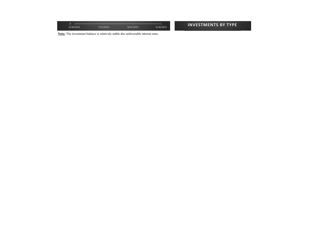| <b>STATE</b><br><b>STATE</b><br>∼<br>6/30/2021 | <b>STATISTICS</b><br><b>STATISTICS</b><br>7/31/202 | <b>CONTRACTOR</b><br><b>STATE</b> | <b>INVESTMENTS BY TYPE</b> |
|------------------------------------------------|----------------------------------------------------|-----------------------------------|----------------------------|
|                                                |                                                    |                                   |                            |

**Note:** The investment balance is relatively stable due unfavorable interest rates.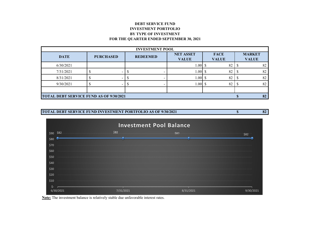## **DEBT SERVICE FUND INVESTMENT PORTFOLIO BY TYPE OF INVESTMENT FOR THE QUARTER ENDED SEPTEMBER 30, 2021**

| <b>INVESTMENT POOL</b>                         |                  |                 |                                  |                             |                               |  |  |  |  |  |
|------------------------------------------------|------------------|-----------------|----------------------------------|-----------------------------|-------------------------------|--|--|--|--|--|
| <b>DATE</b>                                    | <b>PURCHASED</b> | <b>REDEEMED</b> | <b>NET ASSET</b><br><b>VALUE</b> | <b>FACE</b><br><b>VALUE</b> | <b>MARKET</b><br><b>VALUE</b> |  |  |  |  |  |
| 6/30/2021                                      |                  |                 | 1.00                             | 82                          | 82                            |  |  |  |  |  |
| 7/31/2021                                      |                  |                 | 1.00S                            | 82                          | 82                            |  |  |  |  |  |
| 8/31/2021                                      |                  |                 | 1.00S                            | 82                          | 82                            |  |  |  |  |  |
| 9/30/2021                                      |                  |                 | 1.00                             | 82                          | 82                            |  |  |  |  |  |
|                                                |                  |                 |                                  |                             |                               |  |  |  |  |  |
| <b>TOTAL DEBT SERVICE FUND AS OF 9/30/2021</b> | 82               |                 |                                  |                             |                               |  |  |  |  |  |

# **TOTAL DEBT SERVICE FUND INVESTMENT PORTFOLIO AS OF 9/30/2021 82 \$**



**Note:** The investment balance is relatively stable due unfavorable interest rates.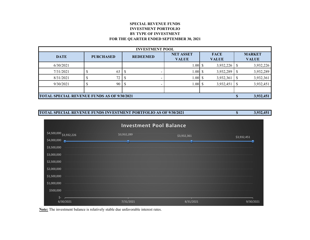## **SPECIAL REVENUE FUNDSINVESTMENT PORTFOLIO BY TYPE OF INVESTMENT FOR THE QUARTER ENDED SEPTEMBER 30, 2021**

| <b>INVESTMENT POOL</b>                             |                  |                 |                                  |                             |                               |  |  |  |  |  |
|----------------------------------------------------|------------------|-----------------|----------------------------------|-----------------------------|-------------------------------|--|--|--|--|--|
| <b>DATE</b>                                        | <b>PURCHASED</b> | <b>REDEEMED</b> | <b>NET ASSET</b><br><b>VALUE</b> | <b>FACE</b><br><b>VALUE</b> | <b>MARKET</b><br><b>VALUE</b> |  |  |  |  |  |
| 6/30/2021                                          |                  |                 | $1.00\,$ \$                      | 3,932,226                   | 3,932,226                     |  |  |  |  |  |
| 7/31/2021                                          | 63               |                 | 1.00S                            | 3,932,289                   | 3,932,289                     |  |  |  |  |  |
| 8/31/2021                                          | 72               |                 | 1.00S                            | 3,932,361                   | 3,932,361                     |  |  |  |  |  |
| 9/30/2021                                          | 90               |                 | 1.00S                            | 3,932,451                   | 3,932,451                     |  |  |  |  |  |
|                                                    |                  |                 |                                  |                             |                               |  |  |  |  |  |
| <b>TOTAL SPECIAL REVENUE FUNDS AS OF 9/30/2021</b> | 3,932,451        |                 |                                  |                             |                               |  |  |  |  |  |





**Note:** The investment balance is relatively stable due unfavorable interest rates.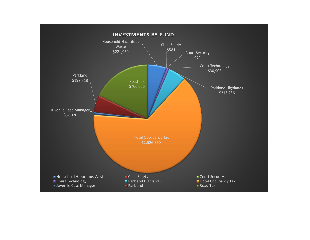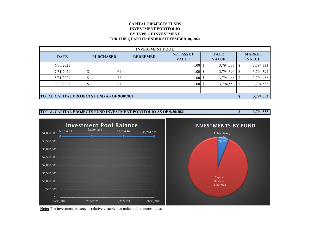## **CAPITAL PROJECTS FUNDSINVESTMENT PORTFOLIO BY TYPE OF INVESTMENT FOR THE QUARTER ENDED SEPTEMBER 30, 2021**

| <b>INVESTMENT POOL</b>                             |                  |                 |                                  |                             |  |                               |  |  |  |  |
|----------------------------------------------------|------------------|-----------------|----------------------------------|-----------------------------|--|-------------------------------|--|--|--|--|
| <b>DATE</b>                                        | <b>PURCHASED</b> | <b>REDEEMED</b> | <b>NET ASSET</b><br><b>VALUE</b> | <b>FACE</b><br><b>VALUE</b> |  | <b>MARKET</b><br><b>VALUE</b> |  |  |  |  |
| 6/30/2021                                          |                  |                 | 1.00                             | 3,794,333<br>S              |  | 3,794,333                     |  |  |  |  |
| 7/31/2021                                          | 61               |                 | 1.00S                            | 3,794,394                   |  | 3,794,394                     |  |  |  |  |
| 8/31/2021                                          | 72               |                 | 1.00                             | 3,794,466                   |  | 3,794,466                     |  |  |  |  |
| 9/30/2021                                          | 87               |                 | 1.00                             | 3,794,553                   |  | 3,794,553                     |  |  |  |  |
|                                                    |                  |                 |                                  |                             |  |                               |  |  |  |  |
| <b>TOTAL CAPITAL PROJECTS FUND AS OF 9/30/2021</b> |                  | 3,794,553       |                                  |                             |  |                               |  |  |  |  |





**Note:** The investment balance is relatively stable due unfavorable interest rates.